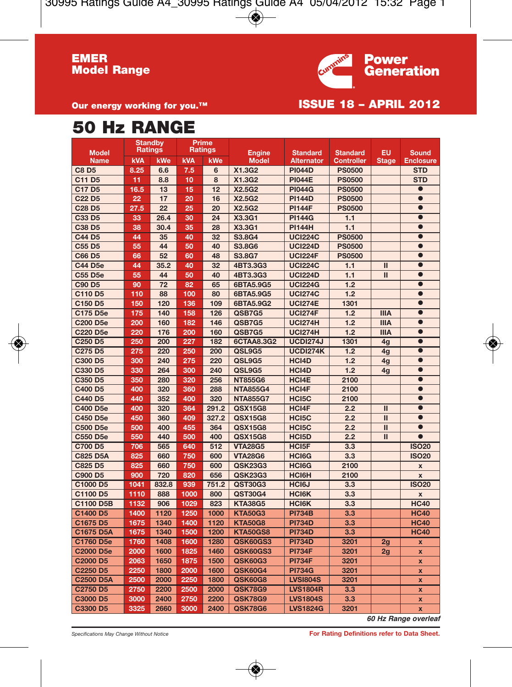

**Our energy working for you.™ ISSUE 18 – APRIL 2012** 

## **50 Hz RANGE**

| <b>Model</b>                    | <b>Standby</b><br><b>Ratings</b> |                 | Prime<br><b>Ratings</b> |       | Engine          | <b>Standard</b>    | <b>Standard</b>   | <b>EU</b>               | Sound              |
|---------------------------------|----------------------------------|-----------------|-------------------------|-------|-----------------|--------------------|-------------------|-------------------------|--------------------|
| <b>Name</b>                     | <b>kVA</b>                       | kWe             | <b>KVA</b>              | kWe   | <b>Model</b>    | <b>Alternator</b>  | <b>Controller</b> | <b>Stage</b>            | <b>Enclosure</b>   |
| <b>C8D5</b>                     | 8.25                             | 6.6             | 7.5                     | 6     | X1.3G2          | <b>PI044D</b>      | <b>PS0500</b>     |                         | <b>STD</b>         |
| C11 D5                          | 11                               | 8.8             | 10                      | 8     | X1.3G2          | <b>PI044E</b>      | <b>PS0500</b>     |                         | <b>STD</b>         |
| C17 D5                          | 16.5                             | 13              | 15                      | 12    | X2.5G2          | <b>PI044G</b>      | <b>PS0500</b>     |                         | $\bullet$          |
| C <sub>22</sub> D <sub>5</sub>  | 22                               | 17              | 20                      | 16    | X2.5G2          | <b>PI144D</b>      | <b>PS0500</b>     |                         | $\bullet$          |
| C <sub>28</sub> D <sub>5</sub>  | 27.5                             | $\overline{22}$ | 25                      | 20    | X2.5G2          | <b>PI144F</b>      | <b>PS0500</b>     |                         | $\bullet$          |
| C33 D5                          | 33                               | 26.4            | 30                      | 24    | X3.3G1          | <b>PI144G</b>      | 1.1               |                         | $\bullet$          |
| C38 D5                          | 38                               | 30.4            | 35                      | 28    | X3.3G1          | <b>PI144H</b>      | 1.1               |                         | $\bullet$          |
| C44 D5                          | 44                               | 35              | 40                      | 32    | S3.8G4          | <b>UCI224C</b>     | <b>PS0500</b>     |                         | $\bullet$          |
| C55 D5                          | 55                               | 44              | 50                      | 40    | S3.8G6          | <b>UCI224D</b>     | <b>PS0500</b>     |                         | $\bullet$          |
| C66 D5                          | 66                               | 52              | 60                      | 48    | S3.8G7          | <b>UCI224F</b>     | <b>PS0500</b>     |                         | $\bullet$          |
| <b>C44 D5e</b>                  | 44                               | 35.2            | 40                      | 32    | 4BT3.3G3        | <b>UCI224C</b>     | 1.1               | $\overline{\mathbf{u}}$ | $\bullet$          |
| C55 D5e                         | 55                               | 44              | 50                      | 40    | 4BT3.3G3        | <b>UCI224D</b>     | 1.1               | $\mathbf{I}$            | $\bullet$          |
| <b>C90 D5</b>                   | 90                               | $\overline{72}$ | 82                      | 65    | 6BTA5.9G5       | <b>UCI224G</b>     | 1.2               |                         | $\bullet$          |
| C110 D5                         | 110                              | 88              | 100                     | 80    | 6BTA5.9G5       | <b>UCI274C</b>     | 1.2               |                         | $\bullet$          |
| C150 D5                         | 150                              | 120             | 136                     | 109   | 6BTA5.9G2       | <b>UCI274E</b>     | 1301              |                         | $\bullet$          |
| C175 D5e                        | 175                              | 140             | 158                     | 126   | QSB7G5          | <b>UCI274F</b>     | 1.2               | <b>IIIA</b>             | $\bullet$          |
| C200 D5e                        | 200                              | 160             | 182                     | 146   | QSB7G5          | <b>UCI274H</b>     | 1.2               | <b>IIIA</b>             | $\bullet$          |
| <b>C220 D5e</b>                 | 220                              | 176             | 200                     | 160   | QSB7G5          | <b>UCI274H</b>     | 1.2               | <b>IIIA</b>             | $\bullet$          |
| C <sub>250</sub> D <sub>5</sub> | 250                              | 200             | 227                     | 182   | 6CTAA8.3G2      | <b>UCDI274J</b>    | 1301              | 4g                      | $\bullet$          |
| C275 D5                         | 275                              | 220             | 250                     | 200   | QSL9G5          | <b>UCDI274K</b>    | 1.2               | 4g                      | $\bullet$          |
| C300 D5                         | 300                              | 240             | 275                     | 220   | QSL9G5          | HCI4D              | 1.2               | 4g                      | $\bullet$          |
| C330 D5                         | 330                              | 264             | 300                     | 240   | QSL9G5          | HCI4D              | 1.2               | 4g                      | $\bullet$          |
| C350 D5                         | 350                              | 280             | 320                     | 256   | <b>NT855G6</b>  | HCI4E              | 2100              |                         | $\bullet$          |
| C400 D5                         | 400                              | 320             | 360                     | 288   | <b>NTA855G4</b> | HCI4F              | 2100              |                         | $\bullet$          |
| C440 D5                         | 440                              | 352             | 400                     | 320   | <b>NTA855G7</b> | HCI5C              | 2100              |                         | $\bullet$          |
| C400 D5e                        | 400                              | 320             | 364                     | 291.2 | QSX15G8         | HCI4F              | 2.2               | π                       | $\bullet$          |
| C450 D5e                        | 450                              | 360             | 409                     | 327.2 | QSX15G8         | HCI5C              | 2.2               | $\mathbf{I}$            | $\bullet$          |
| C500 D5e                        | 500                              | 400             | 455                     | 364   | QSX15G8         | HCI5C              | 2.2               | $\mathbf{I}$            | $\bullet$          |
| C550 D5e                        | 550                              | 440             | 500                     | 400   | QSX15G8         | HCI5D              | 2.2               | $\mathbf{I}$            | $\bullet$          |
| C700 D5                         | 706                              | 565             | 640                     | 512   | <b>VTA28G5</b>  | HCI <sub>5</sub> F | 3.3               |                         | <b>ISO20</b>       |
| <b>C825 D5A</b>                 | 825                              | 660             | 750                     | 600   | <b>VTA28G6</b>  | HCI6G              | 3.3               |                         | <b>ISO20</b>       |
| C825 D5                         | 825                              | 660             | 750                     | 600   | QSK23G3         | HCI6G              | 2100              |                         | $\mathbf{x}$       |
| C900 D5                         | 900                              | 720             | 820                     | 656   | QSK23G3         | HCI6H              | 2100              |                         | $\pmb{\mathsf{x}}$ |
| C1000 D5                        | 1041                             | 832.8           | 939                     | 751.2 | QST30G3         | HCI6J              | 3.3               |                         | <b>ISO20</b>       |
| C1100 D5                        | 1110                             | 888             | 1000                    | 800   | QST30G4         | HCI6K              | 3.3               |                         | $\mathbf{x}$       |
| C1100 D5B                       | 1132                             | 906             | 1029                    | 823   | <b>KTA38G5</b>  | <b>HCI6K</b>       | 3.3               |                         | <b>HC40</b>        |
| C1400 D5                        | 1400                             | 1120            | 1250                    | 1000  | <b>KTA50G3</b>  | <b>PI734B</b>      | 3.3               |                         | <b>HC40</b>        |
| C1675 D5                        | 1675                             | 1340            | 1400                    | 1120  | <b>KTA50G8</b>  | <b>PI734D</b>      | 3.3               |                         | <b>HC40</b>        |
| C1675 D5A                       | 1675                             | 1340            | 1500                    | 1200  | <b>KTA50GS8</b> | <b>PI734D</b>      | 3.3               |                         | <b>HC40</b>        |
| C1760 D5e                       | 1760                             | 1408            | 1600                    | 1280  | QSK60GS3        | <b>PI734D</b>      | 3201              | 2 <sub>g</sub>          | x                  |
| C2000 D5e                       | 2000                             | 1600            | 1825                    | 1460  | QSK60GS3        | <b>PI734F</b>      | 3201              | 2g                      | x                  |
| C2000 D5                        | 2063                             | 1650            | 1875                    | 1500  | QSK60G3         | <b>PI734F</b>      | 3201              |                         | x                  |
| C2250 D5                        | 2250                             | 1800            | 2000                    | 1600  | QSK60G4         | <b>PI734G</b>      | 3201              |                         | x                  |
| <b>C2500 D5A</b>                | 2500                             | 2000            | 2250                    | 1800  | QSK60G8         | <b>LVSI804S</b>    | 3201              |                         | x                  |
| C2750 D5                        | 2750                             | 2200            | 2500                    | 2000  | <b>QSK78G9</b>  | <b>LVS1804R</b>    | 3.3               |                         | x                  |
| C3000 D5                        | 3000                             | 2400            | 2750                    | 2200  | <b>QSK78G9</b>  | <b>LVS1804S</b>    | 3.3               |                         | x                  |
| C3300 D5                        | 3325                             | 2660            | 3000                    | 2400  | <b>QSK78G6</b>  | <b>LVS1824G</b>    | 3201              |                         | x                  |

*60 Hz Range overleaf*